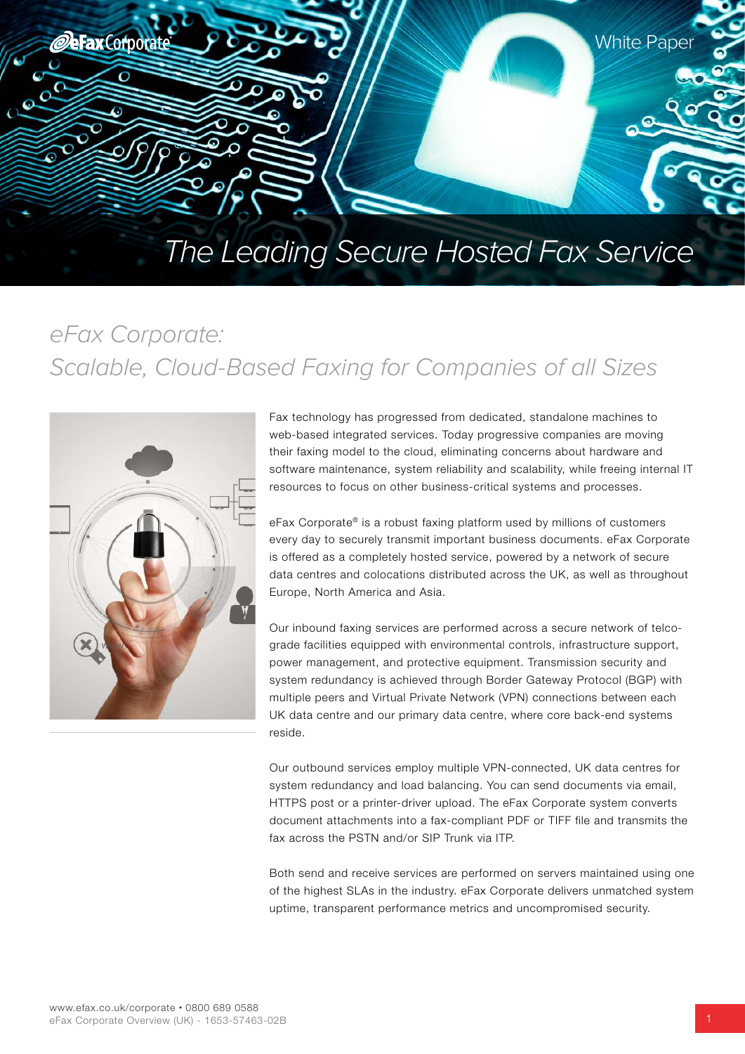

# *eFax Corporate: Scalable, Cloud-Based Faxing for Companies of all Sizes*



Fax technology has progressed from dedicated, standalone machines to web-based integrated services. Today progressive companies are moving their faxing model to the cloud, eliminating concerns about hardware and software maintenance, system reliability and scalability, while freeing internal IT resources to focus on other business-critical systems and processes.

eFax Corporate® is a robust faxing platform used by millions of customers every day to securely transmit important business documents. eFax Corporate is offered as a completely hosted service, powered by a network of secure data centres and colocations distributed across the UK, as well as throughout Europe, North America and Asia.

Our inbound faxing services are performed across a secure network of telcograde facilities equipped with environmental controls, infrastructure support, power management, and protective equipment. Transmission security and system redundancy is achieved through Border Gateway Protocol (BGP) with multiple peers and Virtual Private Network (VPN) connections between each UK data centre and our primary data centre, where core back-end systems reside.

Our outbound services employ multiple VPN-connected, UK data centres for system redundancy and load balancing. You can send documents via email, HTTPS post or a printer-driver upload. The eFax Corporate system converts document attachments into a fax-compliant PDF or TIFF file and transmits the fax across the PSTN and/or SIP Trunk via ITP.

Both send and receive services are performed on servers maintained using one of the highest SLAs in the industry. eFax Corporate delivers unmatched system uptime, transparent performance metrics and uncompromised security.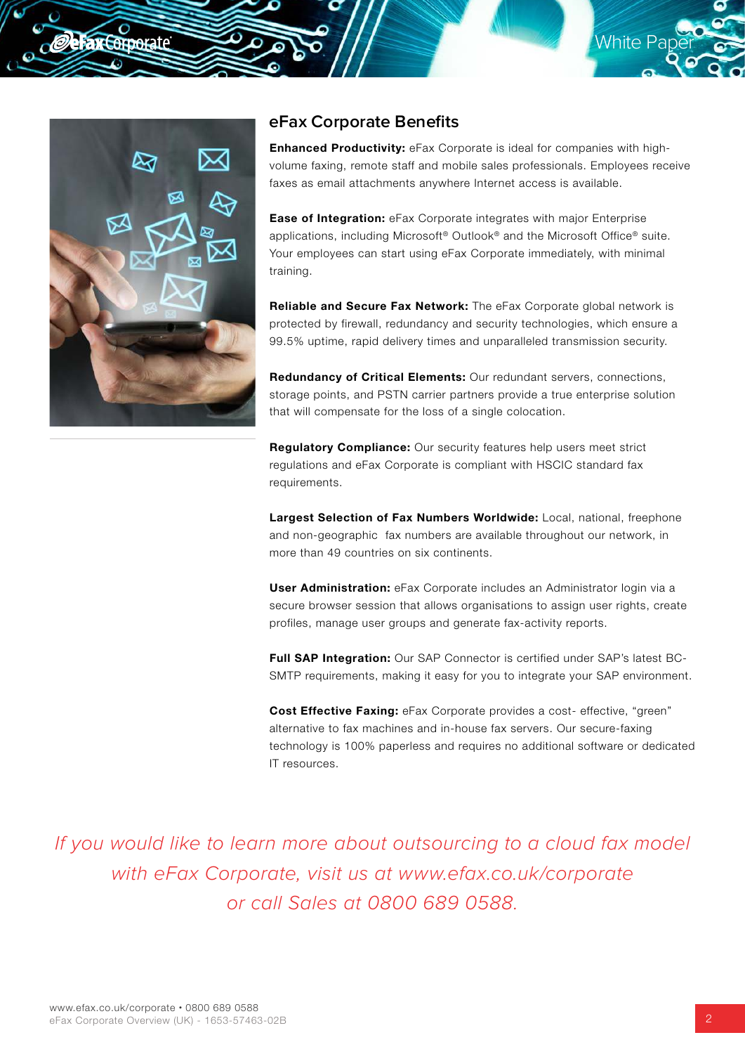

**EGROGRAL**E

### **eFax Corporate Benefits**

**Enhanced Productivity:** eFax Corporate is ideal for companies with highvolume faxing, remote staff and mobile sales professionals. Employees receive faxes as email attachments anywhere Internet access is available.

**White Pap** 

**Ease of Integration:** eFax Corporate integrates with major Enterprise applications, including Microsoft® Outlook® and the Microsoft Office® suite. Your employees can start using eFax Corporate immediately, with minimal training.

Reliable and Secure Fax Network: The eFax Corporate global network is protected by firewall, redundancy and security technologies, which ensure a 99.5% uptime, rapid delivery times and unparalleled transmission security.

Redundancy of Critical Elements: Our redundant servers, connections, storage points, and PSTN carrier partners provide a true enterprise solution that will compensate for the loss of a single colocation.

Regulatory Compliance: Our security features help users meet strict regulations and eFax Corporate is compliant with HSCIC standard fax requirements.

Largest Selection of Fax Numbers Worldwide: Local, national, freephone and non-geographic fax numbers are available throughout our network, in more than 49 countries on six continents.

User Administration: eFax Corporate includes an Administrator login via a secure browser session that allows organisations to assign user rights, create profiles, manage user groups and generate fax-activity reports.

Full SAP Integration: Our SAP Connector is certified under SAP's latest BC-SMTP requirements, making it easy for you to integrate your SAP environment.

Cost Effective Faxing: eFax Corporate provides a cost- effective, "green" alternative to fax machines and in-house fax servers. Our secure-faxing technology is 100% paperless and requires no additional software or dedicated IT resources.

*If you would like to learn more about outsourcing to a cloud fax model with eFax Corporate, visit us at www.efax.co.uk/corporate or call Sales at 0800 689 0588.*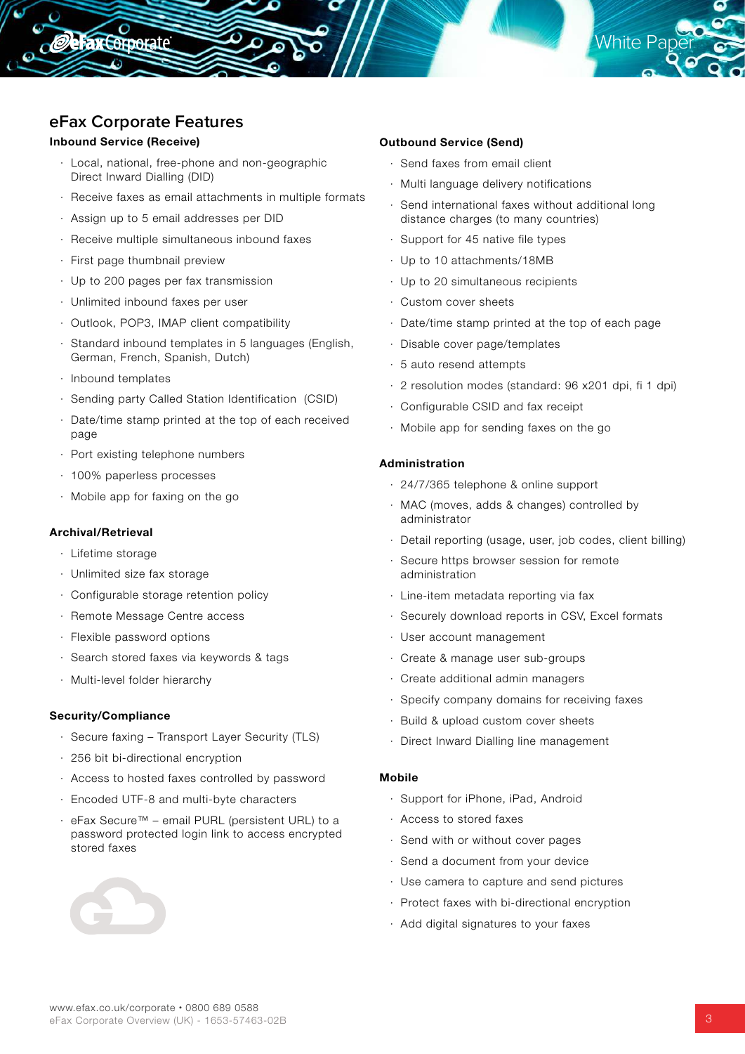

## **eFax Corporate Features**

#### Inbound Service (Receive)

**Fax Corporate** 

- · Local, national, free-phone and non-geographic Direct Inward Dialling (DID)
- · Receive faxes as email attachments in multiple formats
- · Assign up to 5 email addresses per DID
- · Receive multiple simultaneous inbound faxes
- · First page thumbnail preview
- · Up to 200 pages per fax transmission
- · Unlimited inbound faxes per user
- · Outlook, POP3, IMAP client compatibility
- · Standard inbound templates in 5 languages (English, German, French, Spanish, Dutch)
- · Inbound templates
- · Sending party Called Station Identification (CSID)
- · Date/time stamp printed at the top of each received page
- · Port existing telephone numbers
- · 100% paperless processes
- · Mobile app for faxing on the go

#### Archival/Retrieval

- · Lifetime storage
- · Unlimited size fax storage
- · Configurable storage retention policy
- · Remote Message Centre access
- · Flexible password options
- · Search stored faxes via keywords & tags
- · Multi-level folder hierarchy

#### Security/Compliance

- · Secure faxing Transport Layer Security (TLS)
- · 256 bit bi-directional encryption
- · Access to hosted faxes controlled by password
- · Encoded UTF-8 and multi-byte characters
- · eFax Secure™ email PURL (persistent URL) to a password protected login link to access encrypted stored faxes



#### Outbound Service (Send)

- · Send faxes from email client
- · Multi language delivery notifications
- · Send international faxes without additional long distance charges (to many countries)
- · Support for 45 native file types
- · Up to 10 attachments/18MB
- · Up to 20 simultaneous recipients
- · Custom cover sheets
- · Date/time stamp printed at the top of each page
- · Disable cover page/templates
- · 5 auto resend attempts
- · 2 resolution modes (standard: 96 x201 dpi, fi 1 dpi)
- · Configurable CSID and fax receipt
- · Mobile app for sending faxes on the go

#### Administration

- · 24/7/365 telephone & online support
- · MAC (moves, adds & changes) controlled by administrator
- · Detail reporting (usage, user, job codes, client billing)
- Secure https browser session for remote administration
- · Line-item metadata reporting via fax
- · Securely download reports in CSV, Excel formats
- · User account management
- · Create & manage user sub-groups
- · Create additional admin managers
- · Specify company domains for receiving faxes
- · Build & upload custom cover sheets
- · Direct Inward Dialling line management

#### Mobile

- · Support for iPhone, iPad, Android
- · Access to stored faxes
- · Send with or without cover pages
- · Send a document from your device
- · Use camera to capture and send pictures
- · Protect faxes with bi-directional encryption
- · Add digital signatures to your faxes